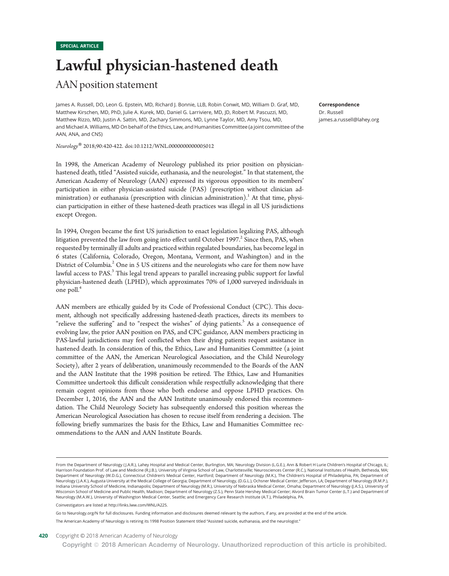## Lawful physician-hastened death

## AAN position statement

James A. Russell, DO, Leon G. Epstein, MD, Richard J. Bonnie, LLB, Robin Conwit, MD, William D. Graf, MD, Matthew Kirschen, MD, PhD, Julie A. Kurek, MD, Daniel G. Larriviere, MD, JD, Robert M. Pascuzzi, MD, Matthew Rizzo, MD, Justin A. Sattin, MD, Zachary Simmons, MD, Lynne Taylor, MD, Amy Tsou, MD, and Michael A. Williams, MD On behalf of the Ethics, Law, and Humanities Committee (a joint committee of the AAN, ANA, and CNS)

Neurology® 2018;90:420-422. doi:10.1212/WNL.0000000000005012

In 1998, the American Academy of Neurology published its prior position on physicianhastened death, titled "Assisted suicide, euthanasia, and the neurologist." In that statement, the American Academy of Neurology (AAN) expressed its vigorous opposition to its members' participation in either physician-assisted suicide (PAS) (prescription without clinician administration) or euthanasia (prescription with clinician administration). At that time, physician participation in either of these hastened-death practices was illegal in all US jurisdictions except Oregon.

In 1994, Oregon became the first US jurisdiction to enact legislation legalizing PAS, although litigation prevented the law from going into effect until October 1997.<sup>2</sup> Since then, PAS, when requested by terminally ill adults and practiced within regulated boundaries, has become legal in 6 states (California, Colorado, Oregon, Montana, Vermont, and Washington) and in the District of Columbia.<sup>2</sup> One in 5 US citizens and the neurologists who care for them now have lawful access to PAS. $^3$  This legal trend appears to parallel increasing public support for lawful physician-hastened death (LPHD), which approximates 70% of 1,000 surveyed individuals in one poll.<sup>4</sup>

AAN members are ethically guided by its Code of Professional Conduct (CPC). This document, although not specifically addressing hastened-death practices, directs its members to "relieve the suffering" and to "respect the wishes" of dying patients.<sup>5</sup> As a consequence of evolving law, the prior AAN position on PAS, and CPC guidance, AAN members practicing in PAS-lawful jurisdictions may feel conflicted when their dying patients request assistance in hastened death. In consideration of this, the Ethics, Law and Humanities Committee (a joint committee of the AAN, the American Neurological Association, and the Child Neurology Society), after 2 years of deliberation, unanimously recommended to the Boards of the AAN and the AAN Institute that the 1998 position be retired. The Ethics, Law and Humanities Committee undertook this difficult consideration while respectfully acknowledging that there remain cogent opinions from those who both endorse and oppose LPHD practices. On December 1, 2016, the AAN and the AAN Institute unanimously endorsed this recommendation. The Child Neurology Society has subsequently endorsed this position whereas the American Neurological Association has chosen to recuse itself from rendering a decision. The following briefly summarizes the basis for the Ethics, Law and Humanities Committee recommendations to the AAN and AAN Institute Boards.

Coinvestigators are listed at<http://links.lww.com/WNL/A225>.

Go to [Neurology.org/N](http://n.neurology.org/lookup/doi/10.1212/WNL.0000000000005012) for full disclosures. Funding information and disclosures deemed relevant by the authors, if any, are provided at the end of the article.

The American Academy of Neurology is retiring its 1998 Position Statement titled "Assisted suicide, euthanasia, and the neurologist."

Copyright © 2018 American Academy of Neurology. Unauthorized reproduction of this article is prohibited.

Correspondence Dr. Russell [james.a.russell@lahey.org](mailto:james.a.russell@lahey.org)

From the Department of Neurology ( J.A.R.), Lahey Hospital and Medical Center, Burlington, MA; Neurology Division (L.G.E.), Ann & Robert H Lurie Children's Hospital of Chicago, IL; Harrison Foundation Prof. of Law and Medicine (R.J.B.), University of Virginia School of Law, Charlottesville; Neurosciences Center (R.C.), National Institutes of Health, Bethesda, MA; Department of Neurology (W.D.G.), Connecticut Children's Medical Center, Hartford; Department of Neurology (M.K.), The Children's Hospital of Philadelphia, PA; Department of Neurology ( J.A.K.), Augusta University at the Medical College of Georgia; Department of Neurology, (D.G.L.), Ochsner Medical Center, Jefferson, LA; Department of Neurology (R.M.P.), Indiana University School of Medicine, Indianapolis; Department of Neurology (M.R.), University of Nebraska Medical Center, Omaha; Department of Neurology (J.A.S.), University of Wisconsin School of Medicine and Public Health, Madison; Department of Neurology (Z.S.), Penn State Hershey Medical Center; Alvord Brain Tumor Center (L.T.) and Department of Neurology (M.A.W.), University of Washington Medical Center, Seattle; and Emergency Care Research Institute (A.T.), Philadelphia, PA.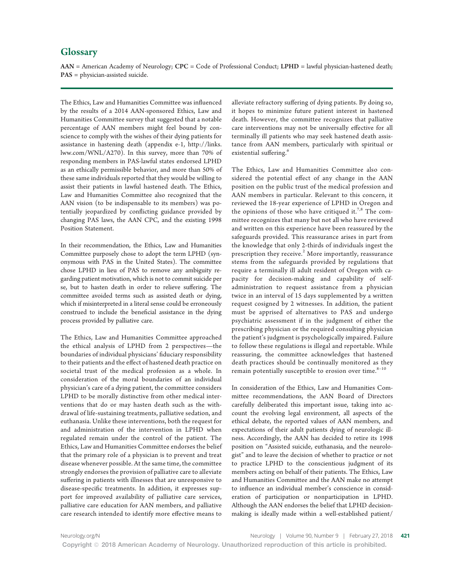### **Glossary**

AAN = American Academy of Neurology; CPC = Code of Professional Conduct; LPHD = lawful physician-hastened death; PAS = physician-assisted suicide.

The Ethics, Law and Humanities Committee was influenced by the results of a 2014 AAN-sponsored Ethics, Law and Humanities Committee survey that suggested that a notable percentage of AAN members might feel bound by conscience to comply with the wishes of their dying patients for assistance in hastening death (appendix e-1, [http://links.](http://links.lww.com/WNL/A270) [lww.com/WNL/A270](http://links.lww.com/WNL/A270)). In this survey, more than 70% of responding members in PAS-lawful states endorsed LPHD as an ethically permissible behavior, and more than 50% of these same individuals reported that they would be willing to assist their patients in lawful hastened death. The Ethics, Law and Humanities Committee also recognized that the AAN vision (to be indispensable to its members) was potentially jeopardized by conflicting guidance provided by changing PAS laws, the AAN CPC, and the existing 1998 Position Statement.

In their recommendation, the Ethics, Law and Humanities Committee purposely chose to adopt the term LPHD (synonymous with PAS in the United States). The committee chose LPHD in lieu of PAS to remove any ambiguity regarding patient motivation, which is not to commit suicide per se, but to hasten death in order to relieve suffering. The committee avoided terms such as assisted death or dying, which if misinterpreted in a literal sense could be erroneously construed to include the beneficial assistance in the dying process provided by palliative care.

The Ethics, Law and Humanities Committee approached the ethical analysis of LPHD from 2 perspectives—the boundaries of individual physicians' fiduciary responsibility to their patients and the effect of hastened death practice on societal trust of the medical profession as a whole. In consideration of the moral boundaries of an individual physician's care of a dying patient, the committee considers LPHD to be morally distinctive from other medical interventions that do or may hasten death such as the withdrawal of life-sustaining treatments, palliative sedation, and euthanasia. Unlike these interventions, both the request for and administration of the intervention in LPHD when regulated remain under the control of the patient. The Ethics, Law and Humanities Committee endorses the belief that the primary role of a physician is to prevent and treat disease whenever possible. At the same time, the committee strongly endorses the provision of palliative care to alleviate suffering in patients with illnesses that are unresponsive to disease-specific treatments. In addition, it expresses support for improved availability of palliative care services, palliative care education for AAN members, and palliative care research intended to identify more effective means to

alleviate refractory suffering of dying patients. By doing so, it hopes to minimize future patient interest in hastened death. However, the committee recognizes that palliative care interventions may not be universally effective for all terminally ill patients who may seek hastened death assistance from AAN members, particularly with spiritual or existential suffering.<sup>6</sup>

The Ethics, Law and Humanities Committee also considered the potential effect of any change in the AAN position on the public trust of the medical profession and AAN members in particular. Relevant to this concern, it reviewed the 18-year experience of LPHD in Oregon and the opinions of those who have critiqued it.<sup>7,8</sup> The committee recognizes that many but not all who have reviewed and written on this experience have been reassured by the safeguards provided. This reassurance arises in part from the knowledge that only 2-thirds of individuals ingest the prescription they receive. $2$  More importantly, reassurance stems from the safeguards provided by regulations that require a terminally ill adult resident of Oregon with capacity for decision-making and capability of selfadministration to request assistance from a physician twice in an interval of 15 days supplemented by a written request cosigned by 2 witnesses. In addition, the patient must be apprised of alternatives to PAS and undergo psychiatric assessment if in the judgment of either the prescribing physician or the required consulting physician the patient's judgment is psychologically impaired. Failure to follow these regulations is illegal and reportable. While reassuring, the committee acknowledges that hastened death practices should be continually monitored as they remain potentially susceptible to erosion over time. $8-10$ 

In consideration of the Ethics, Law and Humanities Committee recommendations, the AAN Board of Directors carefully deliberated this important issue, taking into account the evolving legal environment, all aspects of the ethical debate, the reported values of AAN members, and expectations of their adult patients dying of neurologic illness. Accordingly, the AAN has decided to retire its 1998 position on "Assisted suicide, euthanasia, and the neurologist" and to leave the decision of whether to practice or not to practice LPHD to the conscientious judgment of its members acting on behalf of their patients. The Ethics, Law and Humanities Committee and the AAN make no attempt to influence an individual member's conscience in consideration of participation or nonparticipation in LPHD. Although the AAN endorses the belief that LPHD decisionmaking is ideally made within a well-established patient/

[Neurology.org/N](http://neurology.org/n) Neurology | Volume 90, Number 9 | February 27, 2018 421

Copyright © 2018 American Academy of Neurology. Unauthorized reproduction of this article is prohibited.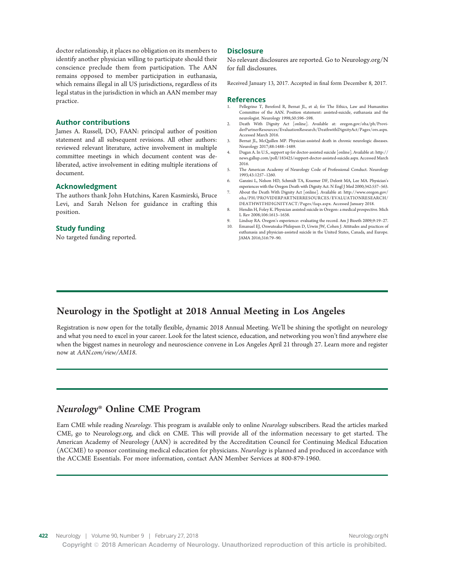doctor relationship, it places no obligation on its members to identify another physician willing to participate should their conscience preclude them from participation. The AAN remains opposed to member participation in euthanasia, which remains illegal in all US jurisdictions, regardless of its legal status in the jurisdiction in which an AAN member may practice.

#### Author contributions

James A. Russell, DO, FAAN: principal author of position statement and all subsequent revisions. All other authors: reviewed relevant literature, active involvement in multiple committee meetings in which document content was deliberated, active involvement in editing multiple iterations of document.

#### Acknowledgment

The authors thank John Hutchins, Karen Kasmirski, Bruce Levi, and Sarah Nelson for guidance in crafting this position.

#### Study funding

No targeted funding reported.

#### **Disclosure**

No relevant disclosures are reported. Go to [Neurology.org/N](http://n.neurology.org/lookup/doi/10.1212/WNL.0000000000005012) for full disclosures.

Received January 13, 2017. Accepted in final form December 8, 2017.

#### References

- 1. Pellegrino T, Bereford R, Bernat JL, et al; for The Ethics, Law and Humanities Committee of the AAN. Position statement: assisted-suicide, euthanasia and the neurologist. Neurology 1998;50:596–598.
- 2. Death With Dignity Act [online]. Available at: [oregon.gov/oha/ph/Provi](http://www.oregon.gov/oha/ph/ProviderPartnerResources/EvaluationResearch/DeathwithDignityAct/Pages/ors.aspx)[derPartnerResources/EvaluationResearch/DeathwithDignityAct/Pages/ors.aspx](http://www.oregon.gov/oha/ph/ProviderPartnerResources/EvaluationResearch/DeathwithDignityAct/Pages/ors.aspx). Accessed March 2016.
- 3. Bernat JL, McQuillen MP. Physician-assisted death in chronic neurologic diseases. Neurology 2017;88:1488–1489.
- 4. Dugan A. In U.S., support up for doctor-assisted suicide [online]. Available at: [http://](http://news.gallup.com/poll/183425/support-doctor-assisted-suicide.aspx.) [news.gallup.com/poll/183425/support-doctor-assisted-suicide.aspx.](http://news.gallup.com/poll/183425/support-doctor-assisted-suicide.aspx.) Accessed March 2016.
- 5. The American Academy of Neurology Code of Professional Conduct. Neurology 1993;43:1257–1260.
- 6. Ganzini L, Nelson HD, Schmidt TA, Kraemer DF, Delorit MA, Lee MA. Physician's experiences with the Oregon Death with Dignity Act. N Engl J Med 2000;342:557–563.
- 7. About the Death With Dignity Act [online]. Available at: [http://www.oregon.gov/](http://www.oregon.gov/oha/PH/PROVIDERPARTNERRESOURCES/EVALUATIONRESEARCH/DEATHWITHDIGNITYACT/Pages/faqs.aspx) [oha/PH/PROVIDERPARTNERRESOURCES/EVALUATIONRESEARCH/](http://www.oregon.gov/oha/PH/PROVIDERPARTNERRESOURCES/EVALUATIONRESEARCH/DEATHWITHDIGNITYACT/Pages/faqs.aspx) [DEATHWITHDIGNITYACT/Pages/faqs.aspx.](http://www.oregon.gov/oha/PH/PROVIDERPARTNERRESOURCES/EVALUATIONRESEARCH/DEATHWITHDIGNITYACT/Pages/faqs.aspx) Accessed January 2018.
- 8. Hendin H, Foley K. Physician assisted suicide in Oregon: a medical prospective. Mich L Rev 2008;106:1613–1638.
- 9. Lindsay RA. Oregon's experience: evaluating the record. Am J Bioeth 2009;9:19–27.
- 10. Emanuel EJ, Onwuteaka-Philepsen D, Urwin JW, Cohen J. Attitudes and practices of euthanasia and physician-assisted suicide in the United States, Canada, and Europe. JAMA 2016;316:79–90.

## Neurology in the Spotlight at 2018 Annual Meeting in Los Angeles

Registration is now open for the totally flexible, dynamic 2018 Annual Meeting. We'll be shining the spotlight on neurology and what you need to excel in your career. Look for the latest science, education, and networking you won't find anywhere else when the biggest names in neurology and neuroscience convene in Los Angeles April 21 through 27. Learn more and register now at AAN.com/view/AM18.

## Neurology® Online CME Program

Earn CME while reading Neurology. This program is available only to online Neurology subscribers. Read the articles marked CME, go to Neurology.org, and click on CME. This will provide all of the information necessary to get started. The American Academy of Neurology (AAN) is accredited by the Accreditation Council for Continuing Medical Education (ACCME) to sponsor continuing medical education for physicians. Neurology is planned and produced in accordance with the ACCME Essentials. For more information, contact AAN Member Services at 800-879-1960.